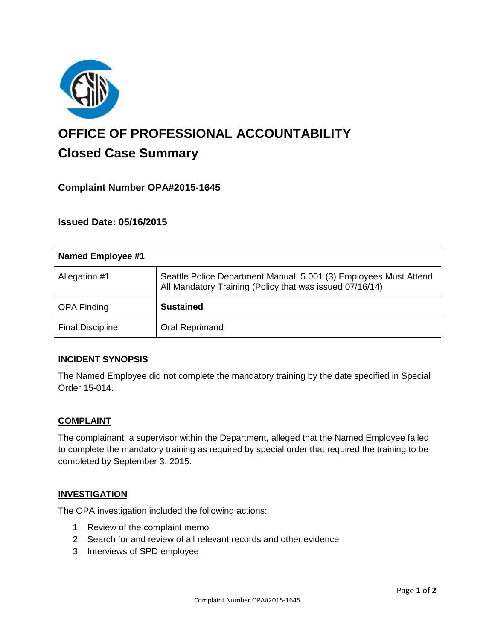

# **OFFICE OF PROFESSIONAL ACCOUNTABILITY Closed Case Summary**

## **Complaint Number OPA#2015-1645**

## **Issued Date: 05/16/2015**

| <b>Named Employee #1</b> |                                                                                                                              |
|--------------------------|------------------------------------------------------------------------------------------------------------------------------|
| Allegation #1            | Seattle Police Department Manual 5.001 (3) Employees Must Attend<br>All Mandatory Training (Policy that was issued 07/16/14) |
| <b>OPA Finding</b>       | <b>Sustained</b>                                                                                                             |
| <b>Final Discipline</b>  | Oral Reprimand                                                                                                               |

## **INCIDENT SYNOPSIS**

The Named Employee did not complete the mandatory training by the date specified in Special Order 15-014.

#### **COMPLAINT**

The complainant, a supervisor within the Department, alleged that the Named Employee failed to complete the mandatory training as required by special order that required the training to be completed by September 3, 2015.

#### **INVESTIGATION**

The OPA investigation included the following actions:

- 1. Review of the complaint memo
- 2. Search for and review of all relevant records and other evidence
- 3. Interviews of SPD employee